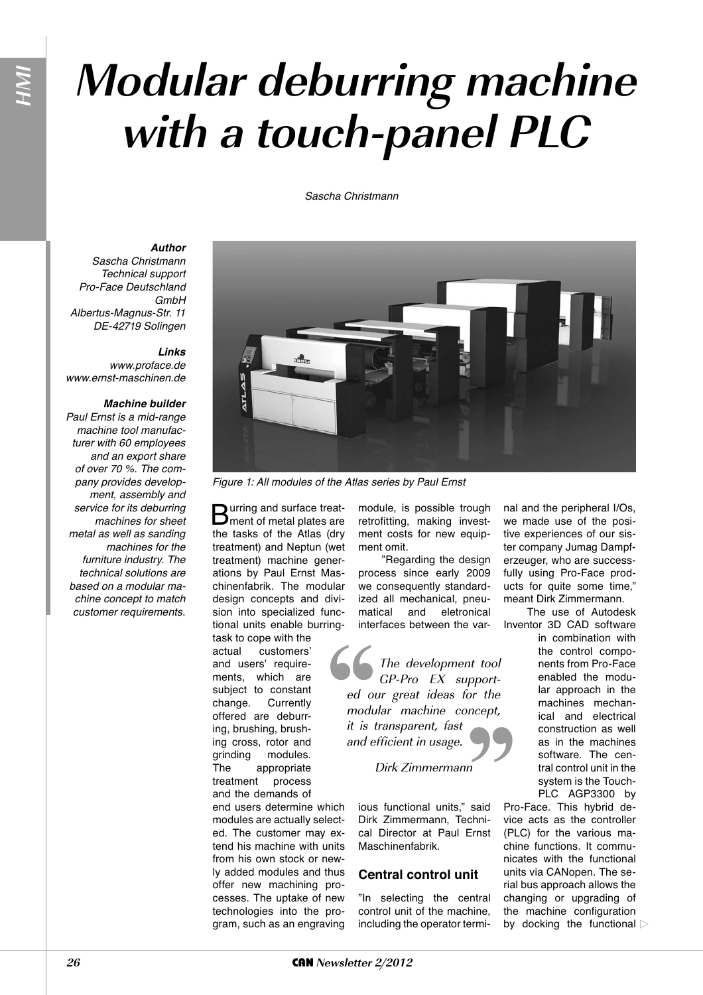# **Modular deburring machine with a touch-panel PLC**

### Sascha Christmann

# *Author*

Sascha Christmann Technical support Pro-Face Deutschland **GmhH** Albertus-Magnus-Str. 11 DE-42719 Solingen

**HMI**

# *Links*

www.proface.de www.ernst-maschinen.de

#### *Machine builder*

Paul Ernst is a mid-range machine tool manufacturer with 60 employees and an export share of over 70 %. The company provides development, assembly and service for its deburring machines for sheet metal as well as sanding machines for the furniture industry. The technical solutions are based on a modular machine concept to match customer requirements.



Figure 1: All modules of the Atlas series by Paul Ernst

Burring and surface treat-ment of metal plates are the tasks of the Atlas (dry treatment) and Neptun (wet treatment) machine generations by Paul Ernst Maschinenfabrik. The modular design concepts and division into specialized functional units enable burring-

task to cope with the actual customers' and users' requirements, which are subject to constant change. Currently offered are deburring, brushing, brushing cross, rotor and grinding modules. The appropriate treatment process and the demands of

end users determine which modules are actually selected. The customer may extend his machine with units from his own stock or newly added modules and thus offer new machining processes. The uptake of new technologies into the program, such as an engraving module, is possible trough retrofitting, making investment costs for new equipment omit.

"Regarding the design process since early 2009 we consequently standardized all mechanical, pneumatical and eletronical interfaces between the var-

The development tool GP-Pro EX supported our great ideas for the modular machine concept, it is transparent, fast and efficient in usage.

# Dirk Zimmermann

ious functional units," said Dirk Zimmermann, Technical Director at Paul Ernst Maschinenfabrik.

## **Central control unit**

"In selecting the central control unit of the machine, including the operator terminal and the peripheral I/Os, we made use of the positive experiences of our sister company Jumag Dampferzeuger, who are successfully using Pro-Face products for quite some time," meant Dirk Zimmermann.

The use of Autodesk Inventor 3D CAD software

in combination with the control components from Pro-Face enabled the modular approach in the machines mechanical and electrical construction as well as in the machines software. The central control unit in the system is the Touch-PLC AGP3300 by

Pro-Face. This hybrid device acts as the controller (PLC) for the various machine functions. It communicates with the functional units via CANopen. The serial bus approach allows the changing or upgrading of the machine configuration by docking the functional  $\triangleright$